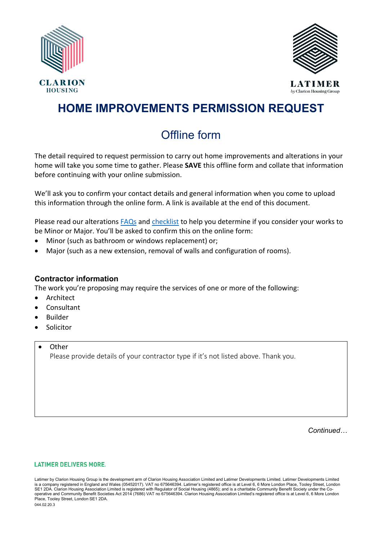



LATIMBR by Clarion Housing Group

## **HOME IMPROVEMENTS PERMISSION REQUEST**

# Offline form

The detail required to request permission to carry out home improvements and alterations in your home will take you some time to gather. Please **SAVE** this offline form and collate that information before continuing with your online submission.

We'll ask you to confirm your contact details and general information when you come to upload this information through the online form. A link is available at the end of this document.

Please read our alteration[s FAQs](https://www.latimerhomes.com/my-home/home-ownership-questions/home-improvements-and-alterations) an[d checklist](https://www.latimerhomes.com/my-home/home-improvements-and-alterations) to help you determine if you consider your works to be Minor or Major. You'll be asked to confirm this on the online form:

- Minor (such as bathroom or windows replacement) or;
- Major (such as a new extension, removal of walls and configuration of rooms).

### **Contractor information**

The work you're proposing may require the services of one or more of the following:

- **Architect**
- Consultant
- Builder
- Solicitor
- **Other**

Please provide details of your contractor type if it's not listed above. Thank you.

*Continued…*

#### **LATIMER DELIVERS MORE.**

Latimer by Clarion Housing Group is the development arm of Clarion Housing Association Limited and Latimer Developments Limited. Latimer Developments Limited is a company registered in England and Wales (05452017). VAT no 675646394. Latimer's registered office is at Level 6, 6 More London Place, Tooley Street, London<br>SE1 2DA. Clarion Housing Association Limited is registered wi operative and Community Benefit Societies Act 2014 (7686) VAT no 675646394. Clarion Housing Association Limited's registered office is at Level 6, 6 More London Place, Tooley Street, London SE1 2DA.